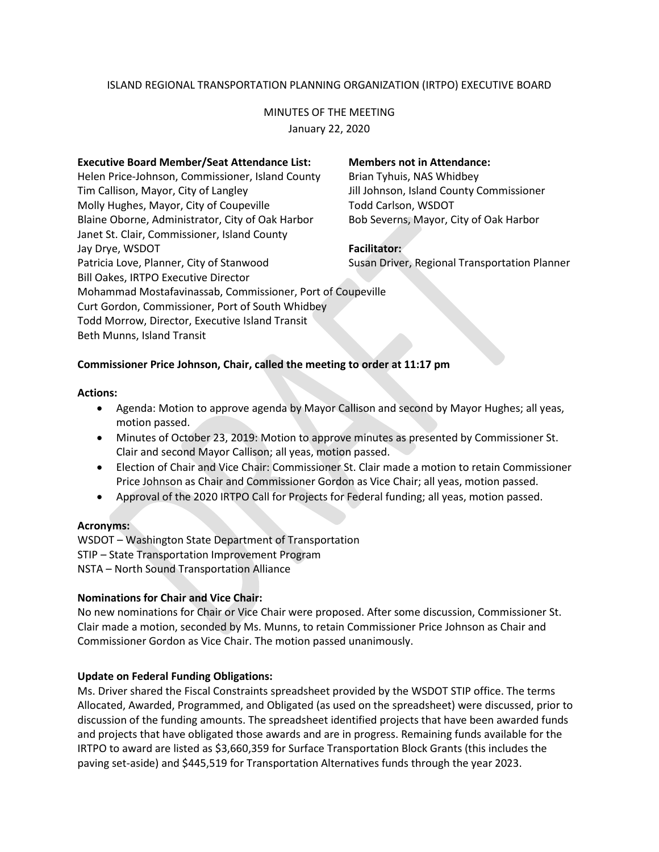# ISLAND REGIONAL TRANSPORTATION PLANNING ORGANIZATION (IRTPO) EXECUTIVE BOARD

# MINUTES OF THE MEETING January 22, 2020

#### **Executive Board Member/Seat Attendance List: Members not in Attendance:**

Helen Price-Johnson, Commissioner, Island County Brian Tyhuis, NAS Whidbey Tim Callison, Mayor, City of Langley Jill Johnson, Island County Commissioner Molly Hughes, Mayor, City of Coupeville Todd Carlson, WSDOT Blaine Oborne, Administrator, City of Oak Harbor Bob Severns, Mayor, City of Oak Harbor Janet St. Clair, Commissioner, Island County Jay Drye, WSDOT **Facilitator:** Patricia Love, Planner, City of Stanwood Susan Driver, Regional Transportation Planner Bill Oakes, IRTPO Executive Director Curt Gordon, Commissioner, Port of South Whidbey Todd Morrow, Director, Executive Island Transit Beth Munns, Island Transit

Mohammad Mostafavinassab, Commissioner, Port of Coupeville

# **Commissioner Price Johnson, Chair, called the meeting to order at 11:17 pm**

## **Actions:**

- Agenda: Motion to approve agenda by Mayor Callison and second by Mayor Hughes; all yeas, motion passed.
- Minutes of October 23, 2019: Motion to approve minutes as presented by Commissioner St. Clair and second Mayor Callison; all yeas, motion passed.
- Election of Chair and Vice Chair: Commissioner St. Clair made a motion to retain Commissioner Price Johnson as Chair and Commissioner Gordon as Vice Chair; all yeas, motion passed.
- Approval of the 2020 IRTPO Call for Projects for Federal funding; all yeas, motion passed.

# **Acronyms:**

WSDOT – Washington State Department of Transportation STIP – State Transportation Improvement Program NSTA – North Sound Transportation Alliance

# **Nominations for Chair and Vice Chair:**

No new nominations for Chair or Vice Chair were proposed. After some discussion, Commissioner St. Clair made a motion, seconded by Ms. Munns, to retain Commissioner Price Johnson as Chair and Commissioner Gordon as Vice Chair. The motion passed unanimously.

# **Update on Federal Funding Obligations:**

Ms. Driver shared the Fiscal Constraints spreadsheet provided by the WSDOT STIP office. The terms Allocated, Awarded, Programmed, and Obligated (as used on the spreadsheet) were discussed, prior to discussion of the funding amounts. The spreadsheet identified projects that have been awarded funds and projects that have obligated those awards and are in progress. Remaining funds available for the IRTPO to award are listed as \$3,660,359 for Surface Transportation Block Grants (this includes the paving set-aside) and \$445,519 for Transportation Alternatives funds through the year 2023.